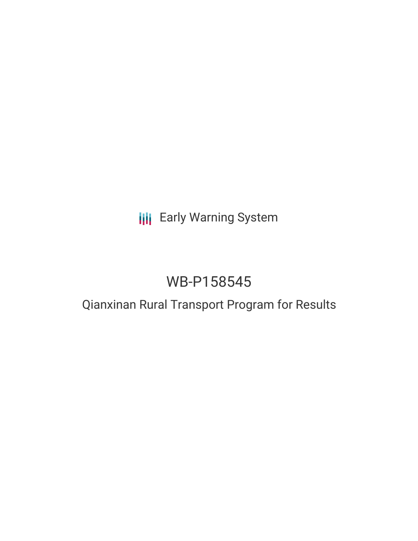# **III** Early Warning System

# WB-P158545

## Qianxinan Rural Transport Program for Results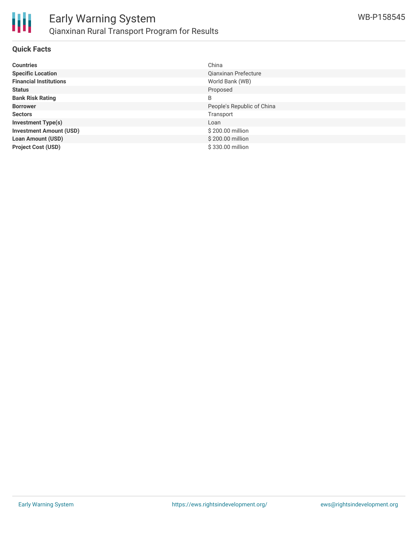

### **Quick Facts**

| <b>Countries</b>               | China                      |
|--------------------------------|----------------------------|
| <b>Specific Location</b>       | Qianxinan Prefecture       |
| <b>Financial Institutions</b>  | World Bank (WB)            |
| <b>Status</b>                  | Proposed                   |
| <b>Bank Risk Rating</b>        | B                          |
| <b>Borrower</b>                | People's Republic of China |
| <b>Sectors</b>                 | Transport                  |
| <b>Investment Type(s)</b>      | Loan                       |
| <b>Investment Amount (USD)</b> | \$200.00 million           |
| <b>Loan Amount (USD)</b>       | \$200.00 million           |
| <b>Project Cost (USD)</b>      | \$330.00 million           |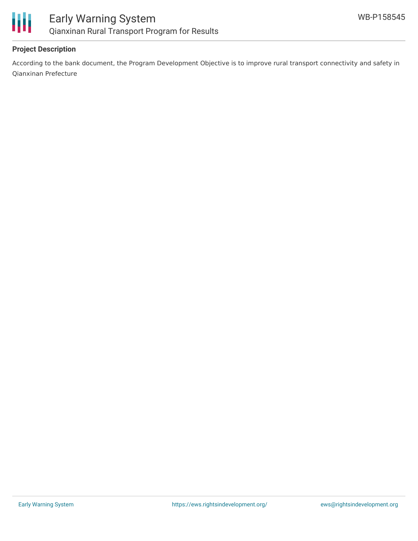

## **Project Description**

According to the bank document, the Program Development Objective is to improve rural transport connectivity and safety in Qianxinan Prefecture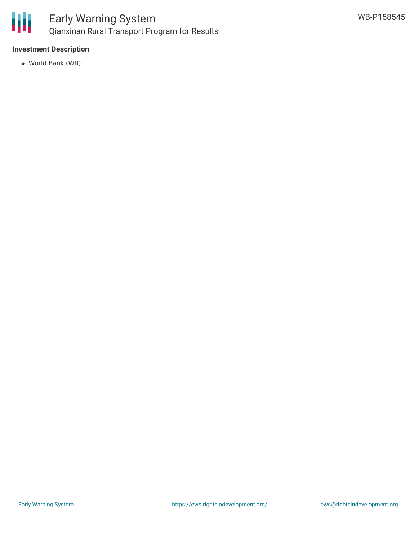

## **Investment Description**

World Bank (WB)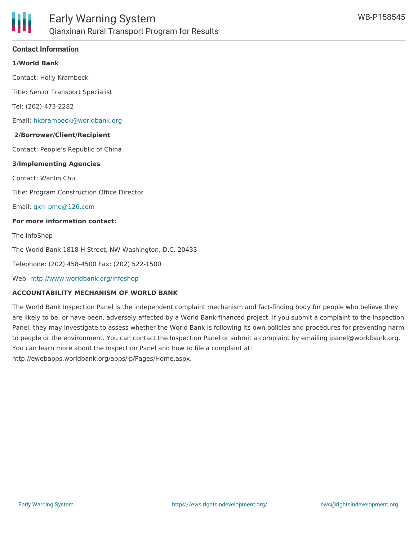

### **Contact Information**

#### **1/World Bank**

Contact: Holly Krambeck

Title: Senior Transport Specialist

Tel: (202)-473-2282

Email: [hkbrambeck@worldbank.org](mailto:hkbrambeck@worldbank.org)

#### **2/Borrower/Client/Recipient**

Contact: People's Republic of China

#### **3/Implementing Agencies**

Contact: Wanlin Chu

Title: Program Construction Office Director

Email: [qxn\\_pmo@126.com](mailto:qxn_pmo@126.com)

#### **For more information contact:**

The InfoShop

The World Bank 1818 H Street, NW Washington, D.C. 20433

Telephone: (202) 458-4500 Fax: (202) 522-1500

Web: <http://www.worldbank.org/infoshop>

#### **ACCOUNTABILITY MECHANISM OF WORLD BANK**

The World Bank Inspection Panel is the independent complaint mechanism and fact-finding body for people who believe they are likely to be, or have been, adversely affected by a World Bank-financed project. If you submit a complaint to the Inspection Panel, they may investigate to assess whether the World Bank is following its own policies and procedures for preventing harm to people or the environment. You can contact the Inspection Panel or submit a complaint by emailing ipanel@worldbank.org. You can learn more about the Inspection Panel and how to file a complaint at: http://ewebapps.worldbank.org/apps/ip/Pages/Home.aspx.